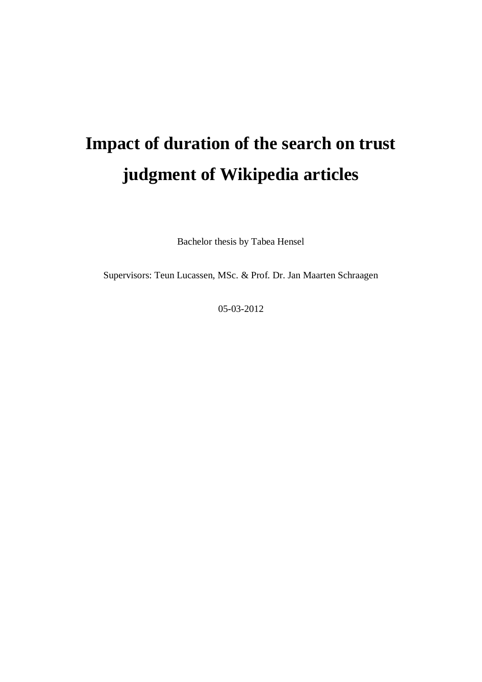# **Impact of duration of the search on trust judgment of Wikipedia articles**

Bachelor thesis by Tabea Hensel

Supervisors: Teun Lucassen, MSc. & Prof. Dr. Jan Maarten Schraagen

05-03-2012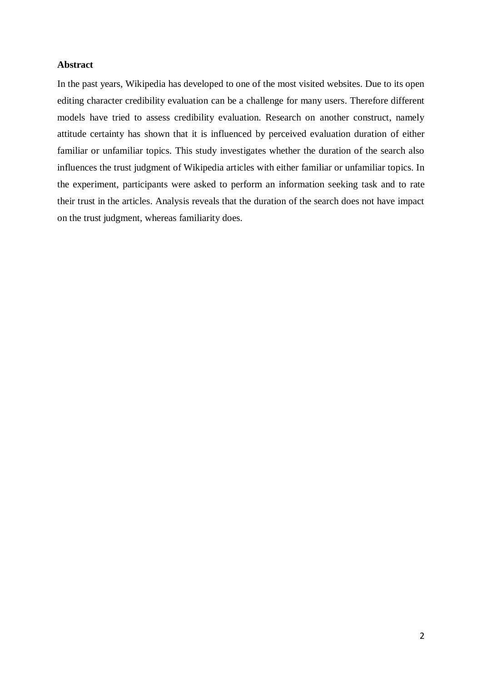# <span id="page-1-0"></span>**Abstract**

In the past years, Wikipedia has developed to one of the most visited websites. Due to its open editing character credibility evaluation can be a challenge for many users. Therefore different models have tried to assess credibility evaluation. Research on another construct, namely attitude certainty has shown that it is influenced by perceived evaluation duration of either familiar or unfamiliar topics. This study investigates whether the duration of the search also influences the trust judgment of Wikipedia articles with either familiar or unfamiliar topics. In the experiment, participants were asked to perform an information seeking task and to rate their trust in the articles. Analysis reveals that the duration of the search does not have impact on the trust judgment, whereas familiarity does.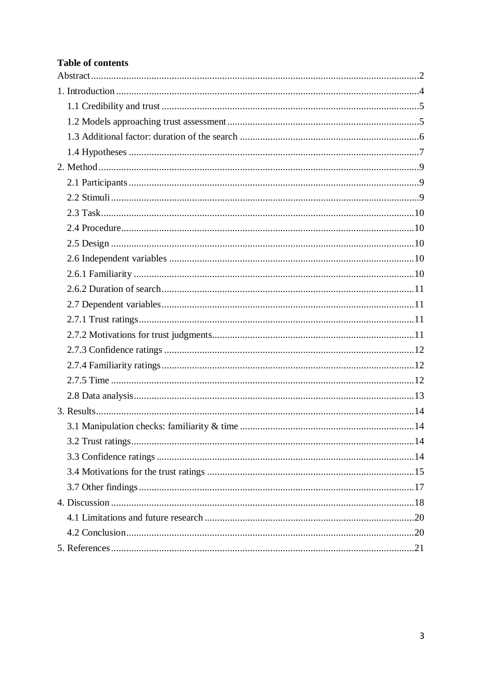# **Table of contents**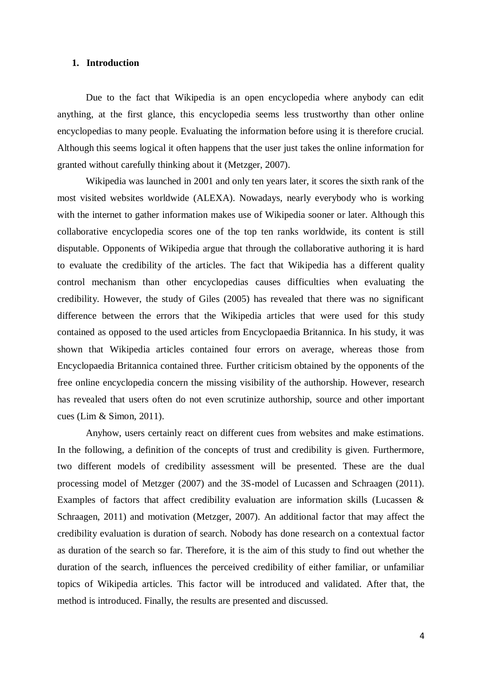# <span id="page-3-0"></span>**1. Introduction**

Due to the fact that Wikipedia is an open encyclopedia where anybody can edit anything, at the first glance, this encyclopedia seems less trustworthy than other online encyclopedias to many people. Evaluating the information before using it is therefore crucial. Although this seems logical it often happens that the user just takes the online information for granted without carefully thinking about it (Metzger, 2007).

Wikipedia was launched in 2001 and only ten years later, it scores the sixth rank of the most visited websites worldwide (ALEXA). Nowadays, nearly everybody who is working with the internet to gather information makes use of Wikipedia sooner or later. Although this collaborative encyclopedia scores one of the top ten ranks worldwide, its content is still disputable. Opponents of Wikipedia argue that through the collaborative authoring it is hard to evaluate the credibility of the articles. The fact that Wikipedia has a different quality control mechanism than other encyclopedias causes difficulties when evaluating the credibility. However, the study of Giles (2005) has revealed that there was no significant difference between the errors that the Wikipedia articles that were used for this study contained as opposed to the used articles from Encyclopaedia Britannica. In his study, it was shown that Wikipedia articles contained four errors on average, whereas those from Encyclopaedia Britannica contained three. Further criticism obtained by the opponents of the free online encyclopedia concern the missing visibility of the authorship. However, research has revealed that users often do not even scrutinize authorship, source and other important cues (Lim & Simon, 2011).

Anyhow, users certainly react on different cues from websites and make estimations. In the following, a definition of the concepts of trust and credibility is given. Furthermore, two different models of credibility assessment will be presented. These are the dual processing model of Metzger (2007) and the 3S-model of Lucassen and Schraagen (2011). Examples of factors that affect credibility evaluation are information skills (Lucassen & Schraagen, 2011) and motivation (Metzger, 2007). An additional factor that may affect the credibility evaluation is duration of search. Nobody has done research on a contextual factor as duration of the search so far. Therefore, it is the aim of this study to find out whether the duration of the search, influences the perceived credibility of either familiar, or unfamiliar topics of Wikipedia articles. This factor will be introduced and validated. After that, the method is introduced. Finally, the results are presented and discussed.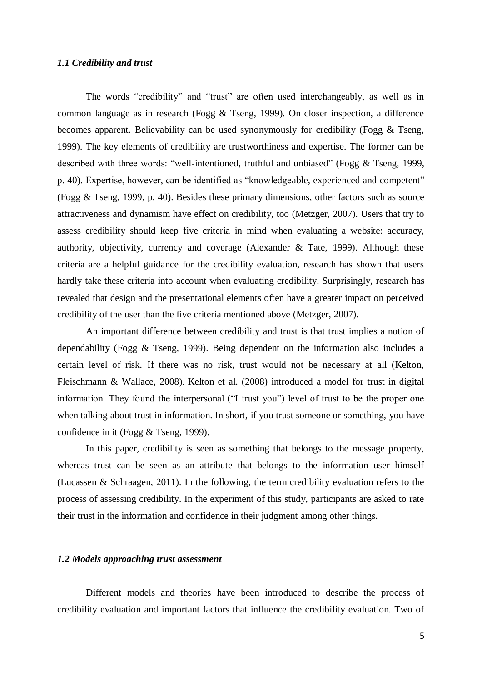# <span id="page-4-0"></span>*1.1 Credibility and trust*

The words "credibility" and "trust" are often used interchangeably, as well as in common language as in research (Fogg & Tseng, 1999). On closer inspection, a difference becomes apparent. Believability can be used synonymously for credibility (Fogg & Tseng, 1999). The key elements of credibility are trustworthiness and expertise. The former can be described with three words: "well-intentioned, truthful and unbiased" (Fogg & Tseng, 1999, p. 40). Expertise, however, can be identified as "knowledgeable, experienced and competent" (Fogg & Tseng, 1999, p. 40). Besides these primary dimensions, other factors such as source attractiveness and dynamism have effect on credibility, too (Metzger, 2007). Users that try to assess credibility should keep five criteria in mind when evaluating a website: accuracy, authority, objectivity, currency and coverage (Alexander & Tate, 1999). Although these criteria are a helpful guidance for the credibility evaluation, research has shown that users hardly take these criteria into account when evaluating credibility. Surprisingly, research has revealed that design and the presentational elements often have a greater impact on perceived credibility of the user than the five criteria mentioned above (Metzger, 2007).

An important difference between credibility and trust is that trust implies a notion of dependability (Fogg & Tseng, 1999). Being dependent on the information also includes a certain level of risk. If there was no risk, trust would not be necessary at all (Kelton, Fleischmann & Wallace, 2008). Kelton et al. (2008) introduced a model for trust in digital information. They found the interpersonal ("I trust you") level of trust to be the proper one when talking about trust in information. In short, if you trust someone or something, you have confidence in it (Fogg & Tseng, 1999).

In this paper, credibility is seen as something that belongs to the message property, whereas trust can be seen as an attribute that belongs to the information user himself (Lucassen & Schraagen, 2011). In the following, the term credibility evaluation refers to the process of assessing credibility. In the experiment of this study, participants are asked to rate their trust in the information and confidence in their judgment among other things.

# <span id="page-4-1"></span>*1.2 Models approaching trust assessment*

Different models and theories have been introduced to describe the process of credibility evaluation and important factors that influence the credibility evaluation. Two of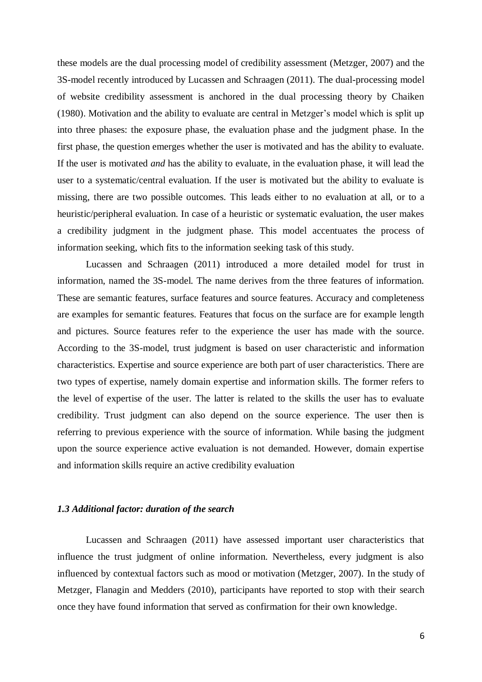these models are the dual processing model of credibility assessment (Metzger, 2007) and the 3S-model recently introduced by Lucassen and Schraagen (2011). The dual-processing model of website credibility assessment is anchored in the dual processing theory by Chaiken (1980). Motivation and the ability to evaluate are central in Metzger's model which is split up into three phases: the exposure phase, the evaluation phase and the judgment phase. In the first phase, the question emerges whether the user is motivated and has the ability to evaluate. If the user is motivated *and* has the ability to evaluate, in the evaluation phase, it will lead the user to a systematic/central evaluation. If the user is motivated but the ability to evaluate is missing, there are two possible outcomes. This leads either to no evaluation at all, or to a heuristic/peripheral evaluation. In case of a heuristic or systematic evaluation, the user makes a credibility judgment in the judgment phase. This model accentuates the process of information seeking, which fits to the information seeking task of this study.

Lucassen and Schraagen (2011) introduced a more detailed model for trust in information, named the 3S-model. The name derives from the three features of information. These are semantic features, surface features and source features. Accuracy and completeness are examples for semantic features. Features that focus on the surface are for example length and pictures. Source features refer to the experience the user has made with the source. According to the 3S-model, trust judgment is based on user characteristic and information characteristics. Expertise and source experience are both part of user characteristics. There are two types of expertise, namely domain expertise and information skills. The former refers to the level of expertise of the user. The latter is related to the skills the user has to evaluate credibility. Trust judgment can also depend on the source experience. The user then is referring to previous experience with the source of information. While basing the judgment upon the source experience active evaluation is not demanded. However, domain expertise and information skills require an active credibility evaluation

# <span id="page-5-0"></span>*1.3 Additional factor: duration of the search*

Lucassen and Schraagen (2011) have assessed important user characteristics that influence the trust judgment of online information. Nevertheless, every judgment is also influenced by contextual factors such as mood or motivation (Metzger, 2007). In the study of Metzger, Flanagin and Medders (2010), participants have reported to stop with their search once they have found information that served as confirmation for their own knowledge.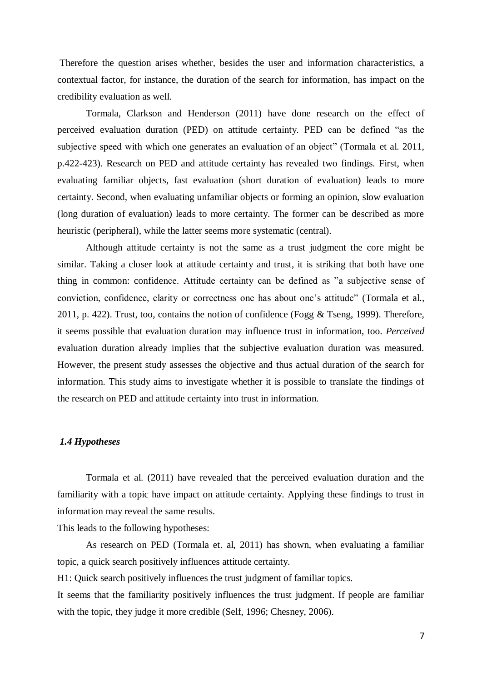Therefore the question arises whether, besides the user and information characteristics, a contextual factor, for instance, the duration of the search for information, has impact on the credibility evaluation as well.

Tormala, Clarkson and Henderson (2011) have done research on the effect of perceived evaluation duration (PED) on attitude certainty. PED can be defined "as the subjective speed with which one generates an evaluation of an object" (Tormala et al. 2011, p.422-423). Research on PED and attitude certainty has revealed two findings. First, when evaluating familiar objects, fast evaluation (short duration of evaluation) leads to more certainty. Second, when evaluating unfamiliar objects or forming an opinion, slow evaluation (long duration of evaluation) leads to more certainty. The former can be described as more heuristic (peripheral), while the latter seems more systematic (central).

Although attitude certainty is not the same as a trust judgment the core might be similar. Taking a closer look at attitude certainty and trust, it is striking that both have one thing in common: confidence. Attitude certainty can be defined as "a subjective sense of conviction, confidence, clarity or correctness one has about one's attitude" (Tormala et al., 2011, p. 422). Trust, too, contains the notion of confidence (Fogg & Tseng, 1999). Therefore, it seems possible that evaluation duration may influence trust in information, too. *Perceived*  evaluation duration already implies that the subjective evaluation duration was measured. However, the present study assesses the objective and thus actual duration of the search for information. This study aims to investigate whether it is possible to translate the findings of the research on PED and attitude certainty into trust in information.

# <span id="page-6-0"></span>*1.4 Hypotheses*

Tormala et al. (2011) have revealed that the perceived evaluation duration and the familiarity with a topic have impact on attitude certainty. Applying these findings to trust in information may reveal the same results.

This leads to the following hypotheses:

As research on PED (Tormala et. al, 2011) has shown, when evaluating a familiar topic, a quick search positively influences attitude certainty.

H1: Quick search positively influences the trust judgment of familiar topics.

It seems that the familiarity positively influences the trust judgment. If people are familiar with the topic, they judge it more credible (Self, 1996; Chesney, 2006).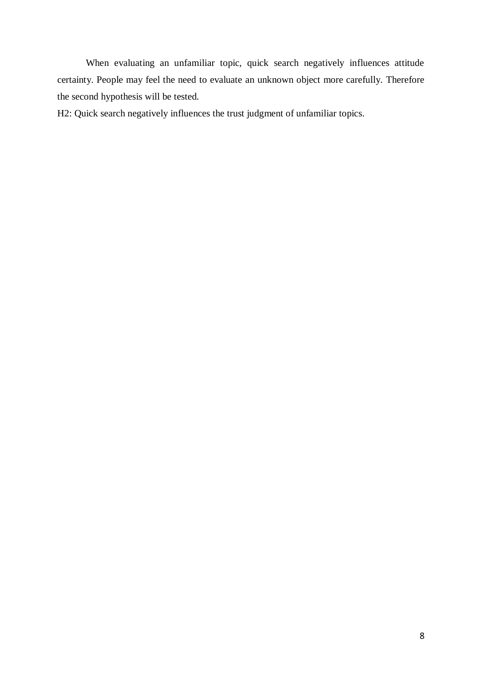When evaluating an unfamiliar topic, quick search negatively influences attitude certainty. People may feel the need to evaluate an unknown object more carefully. Therefore the second hypothesis will be tested.

H2: Quick search negatively influences the trust judgment of unfamiliar topics.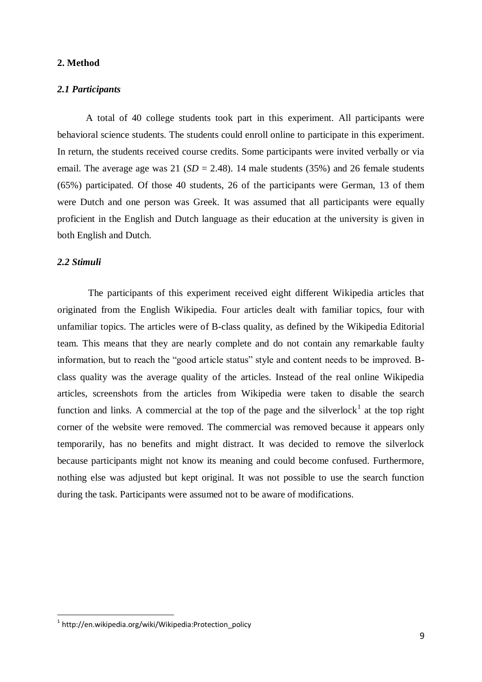# <span id="page-8-0"></span>**2. Method**

# <span id="page-8-1"></span>*2.1 Participants*

A total of 40 college students took part in this experiment. All participants were behavioral science students. The students could enroll online to participate in this experiment. In return, the students received course credits. Some participants were invited verbally or via email. The average age was 21 ( $SD = 2.48$ ). 14 male students (35%) and 26 female students (65%) participated. Of those 40 students, 26 of the participants were German, 13 of them were Dutch and one person was Greek. It was assumed that all participants were equally proficient in the English and Dutch language as their education at the university is given in both English and Dutch.

# <span id="page-8-2"></span>*2.2 Stimuli*

-

The participants of this experiment received eight different Wikipedia articles that originated from the English Wikipedia. Four articles dealt with familiar topics, four with unfamiliar topics. The articles were of B-class quality, as defined by the Wikipedia Editorial team. This means that they are nearly complete and do not contain any remarkable faulty information, but to reach the "good article status" style and content needs to be improved. Bclass quality was the average quality of the articles. Instead of the real online Wikipedia articles, screenshots from the articles from Wikipedia were taken to disable the search function and links. A commercial at the top of the page and the silverlock<sup>1</sup> at the top right corner of the website were removed. The commercial was removed because it appears only temporarily, has no benefits and might distract. It was decided to remove the silverlock because participants might not know its meaning and could become confused. Furthermore, nothing else was adjusted but kept original. It was not possible to use the search function during the task. Participants were assumed not to be aware of modifications.

<sup>1</sup> http://en.wikipedia.org/wiki/Wikipedia:Protection\_policy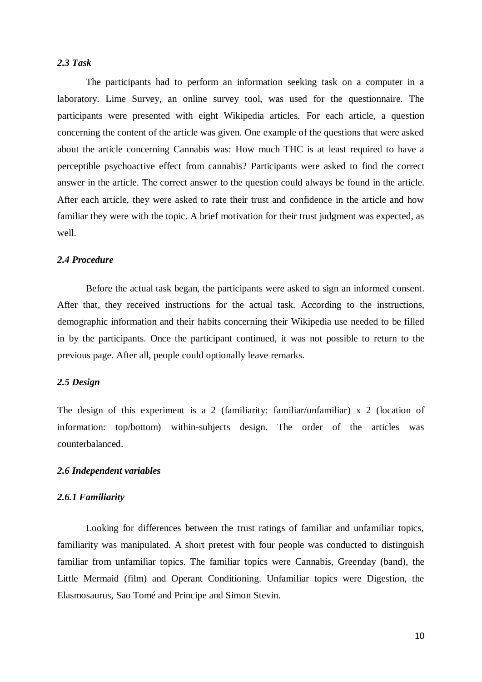# <span id="page-9-0"></span>*2.3 Task*

The participants had to perform an information seeking task on a computer in a laboratory. Lime Survey, an online survey tool, was used for the questionnaire. The participants were presented with eight Wikipedia articles. For each article, a question concerning the content of the article was given. One example of the questions that were asked about the article concerning Cannabis was: How much THC is at least required to have a perceptible psychoactive effect from cannabis? Participants were asked to find the correct answer in the article. The correct answer to the question could always be found in the article. After each article, they were asked to rate their trust and confidence in the article and how familiar they were with the topic. A brief motivation for their trust judgment was expected, as well.

## <span id="page-9-1"></span>*2.4 Procedure*

Before the actual task began, the participants were asked to sign an informed consent. After that, they received instructions for the actual task. According to the instructions, demographic information and their habits concerning their Wikipedia use needed to be filled in by the participants. Once the participant continued, it was not possible to return to the previous page. After all, people could optionally leave remarks.

### <span id="page-9-2"></span>*2.5 Design*

The design of this experiment is a 2 (familiarity: familiar/unfamiliar) x 2 (location of information: top/bottom) within-subjects design. The order of the articles was counterbalanced.

# <span id="page-9-3"></span>*2.6 Independent variables*

#### <span id="page-9-4"></span>*2.6.1 Familiarity*

Looking for differences between the trust ratings of familiar and unfamiliar topics, familiarity was manipulated. A short pretest with four people was conducted to distinguish familiar from unfamiliar topics. The familiar topics were Cannabis, Greenday (band), the Little Mermaid (film) and Operant Conditioning. Unfamiliar topics were Digestion, the Elasmosaurus, Sao Tomé and Principe and Simon Stevin.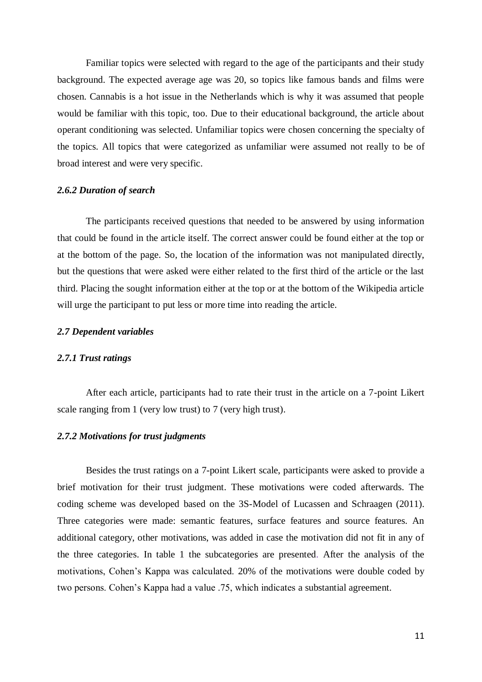Familiar topics were selected with regard to the age of the participants and their study background. The expected average age was 20, so topics like famous bands and films were chosen. Cannabis is a hot issue in the Netherlands which is why it was assumed that people would be familiar with this topic, too. Due to their educational background, the article about operant conditioning was selected. Unfamiliar topics were chosen concerning the specialty of the topics. All topics that were categorized as unfamiliar were assumed not really to be of broad interest and were very specific.

# <span id="page-10-0"></span>*2.6.2 Duration of search*

The participants received questions that needed to be answered by using information that could be found in the article itself. The correct answer could be found either at the top or at the bottom of the page. So, the location of the information was not manipulated directly, but the questions that were asked were either related to the first third of the article or the last third. Placing the sought information either at the top or at the bottom of the Wikipedia article will urge the participant to put less or more time into reading the article.

# <span id="page-10-1"></span>*2.7 Dependent variables*

## <span id="page-10-2"></span>*2.7.1 Trust ratings*

After each article, participants had to rate their trust in the article on a 7-point Likert scale ranging from 1 (very low trust) to 7 (very high trust).

## <span id="page-10-3"></span>*2.7.2 Motivations for trust judgments*

Besides the trust ratings on a 7-point Likert scale, participants were asked to provide a brief motivation for their trust judgment. These motivations were coded afterwards. The coding scheme was developed based on the 3S-Model of Lucassen and Schraagen (2011). Three categories were made: semantic features, surface features and source features. An additional category, other motivations, was added in case the motivation did not fit in any of the three categories. In table 1 the subcategories are presented. After the analysis of the motivations, Cohen's Kappa was calculated. 20% of the motivations were double coded by two persons. Cohen's Kappa had a value .75, which indicates a substantial agreement.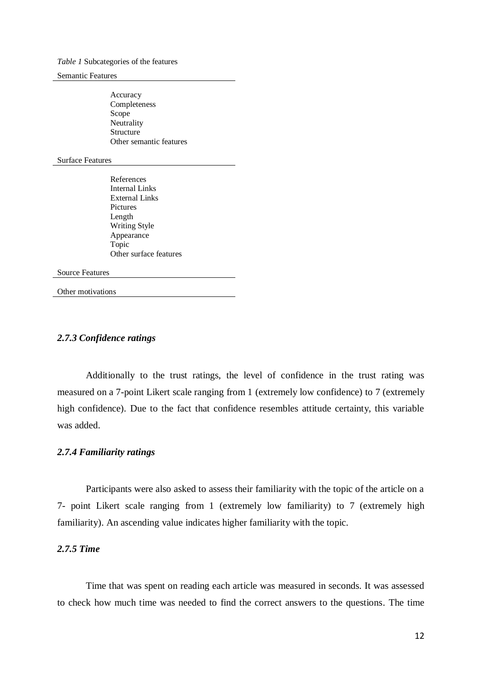#### *Table 1* Subcategories of the features

#### Semantic Features

Accuracy Completeness Scope Neutrality **Structure** Other semantic features

#### Surface Features

References Internal Links External Links Pictures Length Writing Style Appearance Topic Other surface features

#### Source Features

Other motivations

# <span id="page-11-0"></span>*2.7.3 Confidence ratings*

Additionally to the trust ratings, the level of confidence in the trust rating was measured on a 7-point Likert scale ranging from 1 (extremely low confidence) to 7 (extremely high confidence). Due to the fact that confidence resembles attitude certainty, this variable was added.

# <span id="page-11-1"></span>*2.7.4 Familiarity ratings*

Participants were also asked to assess their familiarity with the topic of the article on a 7- point Likert scale ranging from 1 (extremely low familiarity) to 7 (extremely high familiarity). An ascending value indicates higher familiarity with the topic.

# <span id="page-11-2"></span>*2.7.5 Time*

Time that was spent on reading each article was measured in seconds. It was assessed to check how much time was needed to find the correct answers to the questions. The time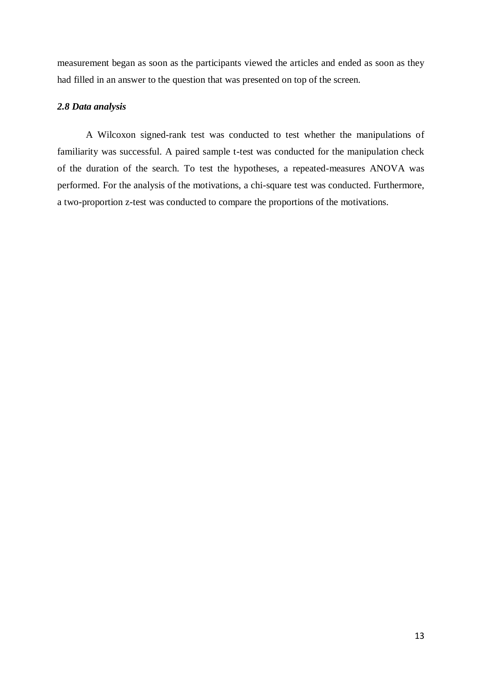measurement began as soon as the participants viewed the articles and ended as soon as they had filled in an answer to the question that was presented on top of the screen.

# <span id="page-12-0"></span>*2.8 Data analysis*

A Wilcoxon signed-rank test was conducted to test whether the manipulations of familiarity was successful. A paired sample t-test was conducted for the manipulation check of the duration of the search. To test the hypotheses, a repeated-measures ANOVA was performed. For the analysis of the motivations, a chi-square test was conducted. Furthermore, a two-proportion z-test was conducted to compare the proportions of the motivations.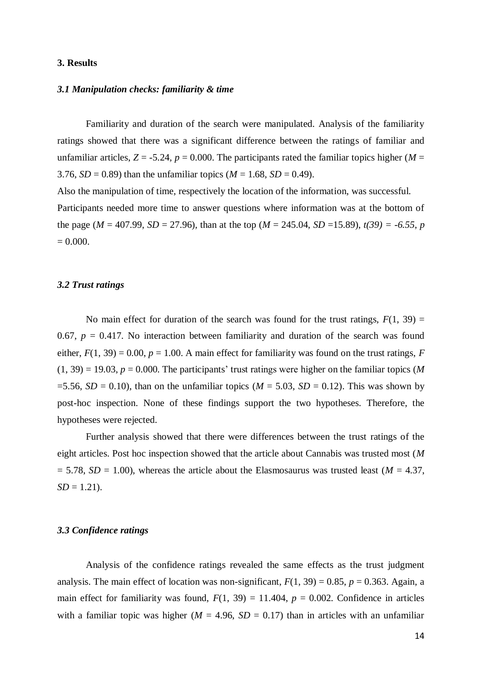# <span id="page-13-0"></span>**3. Results**

# <span id="page-13-1"></span>*3.1 Manipulation checks: familiarity & time*

Familiarity and duration of the search were manipulated. Analysis of the familiarity ratings showed that there was a significant difference between the ratings of familiar and unfamiliar articles,  $Z = -5.24$ ,  $p = 0.000$ . The participants rated the familiar topics higher (*M* = 3.76, *SD* = 0.89) than the unfamiliar topics ( $M = 1.68$ , *SD* = 0.49).

Also the manipulation of time, respectively the location of the information, was successful. Participants needed more time to answer questions where information was at the bottom of the page ( $M = 407.99$ ,  $SD = 27.96$ ), than at the top ( $M = 245.04$ ,  $SD = 15.89$ ),  $t(39) = -6.55$ , *p*  $= 0.000$ .

## <span id="page-13-2"></span>*3.2 Trust ratings*

No main effect for duration of the search was found for the trust ratings,  $F(1, 39) =$ 0.67,  $p = 0.417$ . No interaction between familiarity and duration of the search was found either,  $F(1, 39) = 0.00$ ,  $p = 1.00$ . A main effect for familiarity was found on the trust ratings, *F*  $(1, 39) = 19.03$ ,  $p = 0.000$ . The participants' trust ratings were higher on the familiar topics (*M* =5.56,  $SD = 0.10$ ), than on the unfamiliar topics ( $M = 5.03$ ,  $SD = 0.12$ ). This was shown by post-hoc inspection. None of these findings support the two hypotheses. Therefore, the hypotheses were rejected.

Further analysis showed that there were differences between the trust ratings of the eight articles. Post hoc inspection showed that the article about Cannabis was trusted most (*M*   $= 5.78$ , *SD* = 1.00), whereas the article about the Elasmosaurus was trusted least (*M* = 4.37,  $SD = 1.21$ .

## <span id="page-13-3"></span>*3.3 Confidence ratings*

Analysis of the confidence ratings revealed the same effects as the trust judgment analysis. The main effect of location was non-significant,  $F(1, 39) = 0.85$ ,  $p = 0.363$ . Again, a main effect for familiarity was found,  $F(1, 39) = 11.404$ ,  $p = 0.002$ . Confidence in articles with a familiar topic was higher ( $M = 4.96$ ,  $SD = 0.17$ ) than in articles with an unfamiliar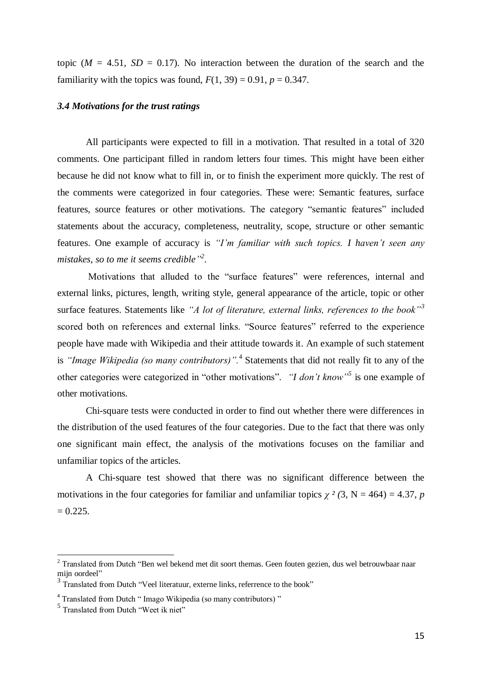topic ( $M = 4.51$ ,  $SD = 0.17$ ). No interaction between the duration of the search and the familiarity with the topics was found,  $F(1, 39) = 0.91$ ,  $p = 0.347$ .

## <span id="page-14-0"></span>*3.4 Motivations for the trust ratings*

All participants were expected to fill in a motivation. That resulted in a total of 320 comments. One participant filled in random letters four times. This might have been either because he did not know what to fill in, or to finish the experiment more quickly. The rest of the comments were categorized in four categories. These were: Semantic features, surface features, source features or other motivations. The category "semantic features" included statements about the accuracy, completeness, neutrality, scope, structure or other semantic features. One example of accuracy is *"I'm familiar with such topics. I haven't seen any mistakes, so to me it seems credible" 2 .* 

Motivations that alluded to the "surface features" were references, internal and external links, pictures, length, writing style, general appearance of the article, topic or other surface features. Statements like *"A lot of literature, external links, references to the book"<sup>3</sup>* scored both on references and external links. "Source features" referred to the experience people have made with Wikipedia and their attitude towards it. An example of such statement is *"Image Wikipedia (so many contributors)".*<sup>4</sup> Statements that did not really fit to any of the other categories were categorized in "other motivations". *"I don't know" 5* is one example of other motivations.

Chi-square tests were conducted in order to find out whether there were differences in the distribution of the used features of the four categories. Due to the fact that there was only one significant main effect, the analysis of the motivations focuses on the familiar and unfamiliar topics of the articles.

A Chi-square test showed that there was no significant difference between the motivations in the four categories for familiar and unfamiliar topics  $\chi^2$  (3, N = 464) = 4.37, *p*  $= 0.225.$ 

-

<sup>&</sup>lt;sup>2</sup> Translated from Dutch "Ben wel bekend met dit soort themas. Geen fouten gezien, dus wel betrouwbaar naar mijn oordeel"

<sup>&</sup>lt;sup>3</sup> Translated from Dutch "Veel literatuur, externe links, referrence to the book"

<sup>&</sup>lt;sup>4</sup> Translated from Dutch " Imago Wikipedia (so many contributors) "

<sup>5</sup> Translated from Dutch "Weet ik niet"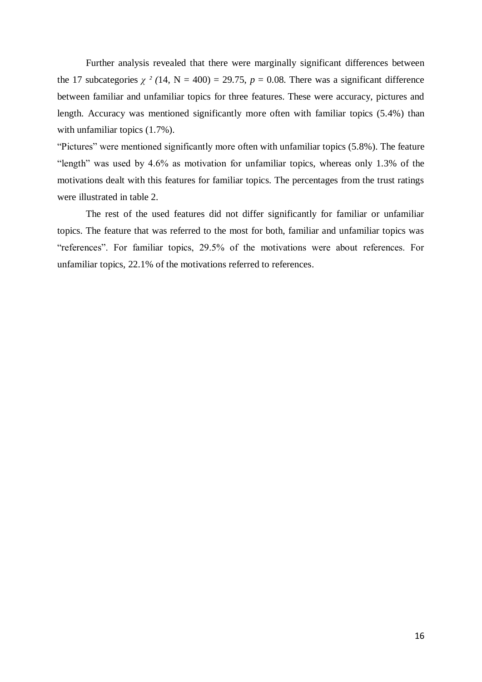Further analysis revealed that there were marginally significant differences between the 17 subcategories  $\chi^2$  (14, N = 400) = 29.75,  $p = 0.08$ . There was a significant difference between familiar and unfamiliar topics for three features. These were accuracy, pictures and length. Accuracy was mentioned significantly more often with familiar topics (5.4%) than with unfamiliar topics  $(1.7\%)$ .

"Pictures" were mentioned significantly more often with unfamiliar topics (5.8%). The feature "length" was used by 4.6% as motivation for unfamiliar topics, whereas only 1.3% of the motivations dealt with this features for familiar topics. The percentages from the trust ratings were illustrated in table 2.

The rest of the used features did not differ significantly for familiar or unfamiliar topics. The feature that was referred to the most for both, familiar and unfamiliar topics was "references". For familiar topics, 29.5% of the motivations were about references. For unfamiliar topics, 22.1% of the motivations referred to references.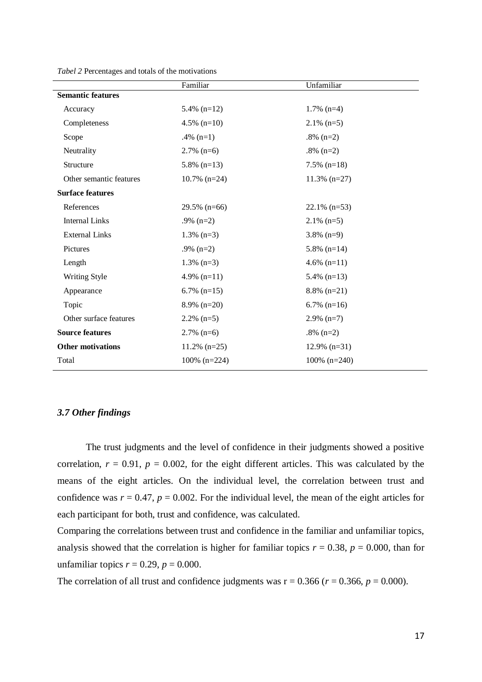|                          | Familiar        | Unfamiliar      |
|--------------------------|-----------------|-----------------|
| <b>Semantic features</b> |                 |                 |
| Accuracy                 | 5.4% $(n=12)$   | $1.7\%$ (n=4)   |
| Completeness             | 4.5% $(n=10)$   | $2.1\%$ (n=5)   |
| Scope                    | $.4\%$ (n=1)    | .8% $(n=2)$     |
| Neutrality               | $2.7\%$ (n=6)   | $.8\%$ (n=2)    |
| Structure                | $5.8\%$ (n=13)  | $7.5\%$ (n=18)  |
| Other semantic features  | $10.7\%$ (n=24) | $11.3\%$ (n=27) |
| <b>Surface features</b>  |                 |                 |
| References               | $29.5\%$ (n=66) | $22.1\%$ (n=53) |
| <b>Internal Links</b>    | .9% $(n=2)$     | $2.1\%$ (n=5)   |
| <b>External Links</b>    | $1.3\%$ (n=3)   | $3.8\%$ (n=9)   |
| Pictures                 | $.9\%$ (n=2)    | $5.8\%$ (n=14)  |
| Length                   | $1.3\%$ (n=3)   | $4.6\%$ (n=11)  |
| Writing Style            | 4.9% $(n=11)$   | 5.4% $(n=13)$   |
| Appearance               | 6.7% $(n=15)$   | $8.8\%$ (n=21)  |
| Topic                    | $8.9\%$ (n=20)  | $6.7\%$ (n=16)  |
| Other surface features   | $2.2\%$ (n=5)   | $2.9\%$ (n=7)   |
| <b>Source features</b>   | $2.7\%$ (n=6)   | $.8\%$ (n=2)    |
| <b>Other motivations</b> | $11.2\%$ (n=25) | $12.9\%$ (n=31) |
| Total                    | $100\%$ (n=224) | $100\%$ (n=240) |

*Tabel 2* Percentages and totals of the motivations

# <span id="page-16-0"></span>*3.7 Other findings*

The trust judgments and the level of confidence in their judgments showed a positive correlation,  $r = 0.91$ ,  $p = 0.002$ , for the eight different articles. This was calculated by the means of the eight articles. On the individual level, the correlation between trust and confidence was  $r = 0.47$ ,  $p = 0.002$ . For the individual level, the mean of the eight articles for each participant for both, trust and confidence, was calculated.

Comparing the correlations between trust and confidence in the familiar and unfamiliar topics, analysis showed that the correlation is higher for familiar topics  $r = 0.38$ ,  $p = 0.000$ , than for unfamiliar topics  $r = 0.29$ ,  $p = 0.000$ .

The correlation of all trust and confidence judgments was  $r = 0.366$  ( $r = 0.366$ ,  $p = 0.000$ ).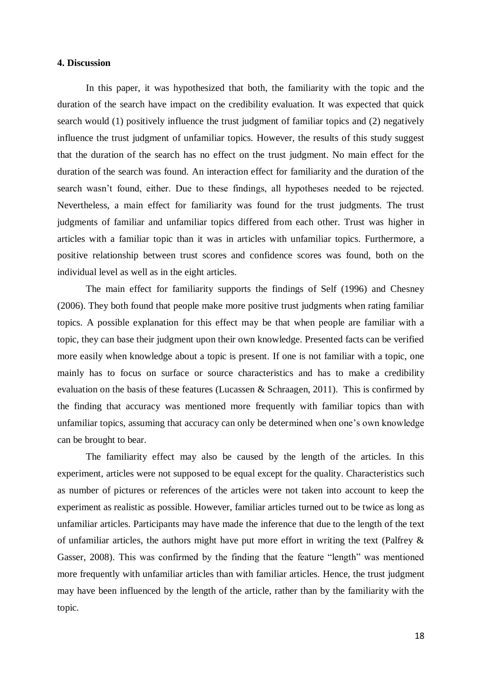# <span id="page-17-0"></span>**4. Discussion**

In this paper, it was hypothesized that both, the familiarity with the topic and the duration of the search have impact on the credibility evaluation. It was expected that quick search would (1) positively influence the trust judgment of familiar topics and (2) negatively influence the trust judgment of unfamiliar topics. However, the results of this study suggest that the duration of the search has no effect on the trust judgment. No main effect for the duration of the search was found. An interaction effect for familiarity and the duration of the search wasn't found, either. Due to these findings, all hypotheses needed to be rejected. Nevertheless, a main effect for familiarity was found for the trust judgments. The trust judgments of familiar and unfamiliar topics differed from each other. Trust was higher in articles with a familiar topic than it was in articles with unfamiliar topics. Furthermore, a positive relationship between trust scores and confidence scores was found, both on the individual level as well as in the eight articles.

The main effect for familiarity supports the findings of Self (1996) and Chesney (2006). They both found that people make more positive trust judgments when rating familiar topics. A possible explanation for this effect may be that when people are familiar with a topic, they can base their judgment upon their own knowledge. Presented facts can be verified more easily when knowledge about a topic is present. If one is not familiar with a topic, one mainly has to focus on surface or source characteristics and has to make a credibility evaluation on the basis of these features (Lucassen & Schraagen, 2011). This is confirmed by the finding that accuracy was mentioned more frequently with familiar topics than with unfamiliar topics, assuming that accuracy can only be determined when one's own knowledge can be brought to bear.

The familiarity effect may also be caused by the length of the articles. In this experiment, articles were not supposed to be equal except for the quality. Characteristics such as number of pictures or references of the articles were not taken into account to keep the experiment as realistic as possible. However, familiar articles turned out to be twice as long as unfamiliar articles. Participants may have made the inference that due to the length of the text of unfamiliar articles, the authors might have put more effort in writing the text (Palfrey & Gasser, 2008). This was confirmed by the finding that the feature "length" was mentioned more frequently with unfamiliar articles than with familiar articles. Hence, the trust judgment may have been influenced by the length of the article, rather than by the familiarity with the topic.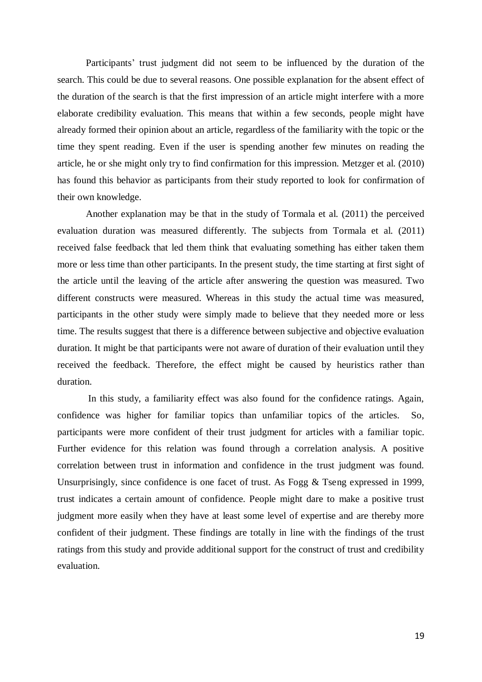Participants' trust judgment did not seem to be influenced by the duration of the search. This could be due to several reasons. One possible explanation for the absent effect of the duration of the search is that the first impression of an article might interfere with a more elaborate credibility evaluation. This means that within a few seconds, people might have already formed their opinion about an article, regardless of the familiarity with the topic or the time they spent reading. Even if the user is spending another few minutes on reading the article, he or she might only try to find confirmation for this impression. Metzger et al. (2010) has found this behavior as participants from their study reported to look for confirmation of their own knowledge.

Another explanation may be that in the study of Tormala et al. (2011) the perceived evaluation duration was measured differently. The subjects from Tormala et al. (2011) received false feedback that led them think that evaluating something has either taken them more or less time than other participants. In the present study, the time starting at first sight of the article until the leaving of the article after answering the question was measured. Two different constructs were measured. Whereas in this study the actual time was measured, participants in the other study were simply made to believe that they needed more or less time. The results suggest that there is a difference between subjective and objective evaluation duration. It might be that participants were not aware of duration of their evaluation until they received the feedback. Therefore, the effect might be caused by heuristics rather than duration.

In this study, a familiarity effect was also found for the confidence ratings. Again, confidence was higher for familiar topics than unfamiliar topics of the articles. So, participants were more confident of their trust judgment for articles with a familiar topic. Further evidence for this relation was found through a correlation analysis. A positive correlation between trust in information and confidence in the trust judgment was found. Unsurprisingly, since confidence is one facet of trust. As Fogg & Tseng expressed in 1999, trust indicates a certain amount of confidence. People might dare to make a positive trust judgment more easily when they have at least some level of expertise and are thereby more confident of their judgment. These findings are totally in line with the findings of the trust ratings from this study and provide additional support for the construct of trust and credibility evaluation.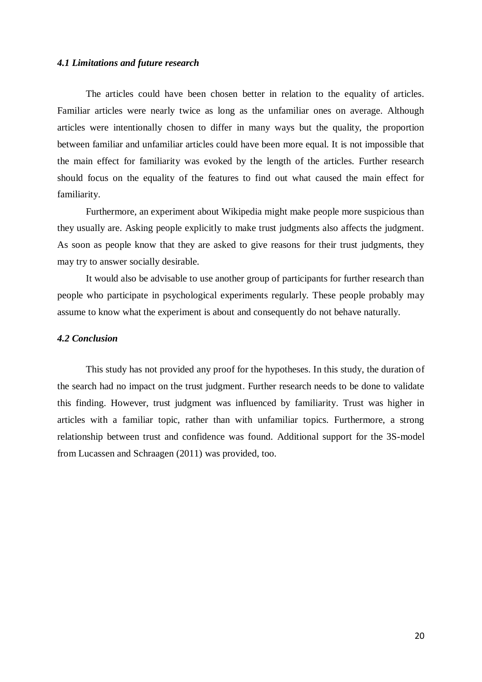# <span id="page-19-0"></span>*4.1 Limitations and future research*

The articles could have been chosen better in relation to the equality of articles. Familiar articles were nearly twice as long as the unfamiliar ones on average. Although articles were intentionally chosen to differ in many ways but the quality, the proportion between familiar and unfamiliar articles could have been more equal. It is not impossible that the main effect for familiarity was evoked by the length of the articles. Further research should focus on the equality of the features to find out what caused the main effect for familiarity.

Furthermore, an experiment about Wikipedia might make people more suspicious than they usually are. Asking people explicitly to make trust judgments also affects the judgment. As soon as people know that they are asked to give reasons for their trust judgments, they may try to answer socially desirable.

It would also be advisable to use another group of participants for further research than people who participate in psychological experiments regularly. These people probably may assume to know what the experiment is about and consequently do not behave naturally.

# <span id="page-19-1"></span>*4.2 Conclusion*

This study has not provided any proof for the hypotheses. In this study, the duration of the search had no impact on the trust judgment. Further research needs to be done to validate this finding. However, trust judgment was influenced by familiarity. Trust was higher in articles with a familiar topic, rather than with unfamiliar topics. Furthermore, a strong relationship between trust and confidence was found. Additional support for the 3S-model from Lucassen and Schraagen (2011) was provided, too.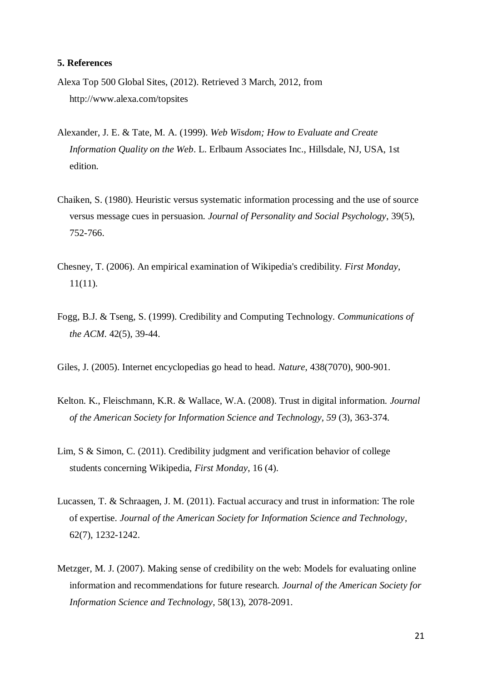# <span id="page-20-0"></span>**5. References**

- Alexa Top 500 Global Sites, (2012). Retrieved 3 March, 2012, from http:/[/www.alexa.com/topsites](http://www.alexa.com/topsites)
- Alexander, J. E. & Tate, M. A. (1999). *Web Wisdom; How to Evaluate and Create Information Quality on the Web*. L. Erlbaum Associates Inc., Hillsdale, NJ, USA, 1st edition.
- Chaiken, S. (1980). Heuristic versus systematic information processing and the use of source versus message cues in persuasion. *Journal of Personality and Social Psychology*, 39(5), 752-766.
- Chesney, T. (2006). An empirical examination of Wikipedia's credibility. *First Monday*, 11(11).
- Fogg, B.J. & Tseng, S. (1999). Credibility and Computing Technology. *Communications of the ACM*. 42(5), 39-44.
- Giles, J. (2005). Internet encyclopedias go head to head. *Nature*, 438(7070), 900-901.
- Kelton. K., Fleischmann, K.R. & Wallace, W.A. (2008). Trust in digital information. *Journal of the American Society for Information Science and Technology, 59* (3), 363-374.
- Lim, S & Simon, C. (2011). Credibility judgment and verification behavior of college students concerning Wikipedia, *First Monday*, 16 (4).
- Lucassen, T. & Schraagen, J. M. (2011). Factual accuracy and trust in information: The role of expertise. *Journal of the American Society for Information Science and Technology*, 62(7), 1232-1242.
- Metzger, M. J. (2007). Making sense of credibility on the web: Models for evaluating online information and recommendations for future research. *Journal of the American Society for Information Science and Technology*, 58(13), 2078-2091.